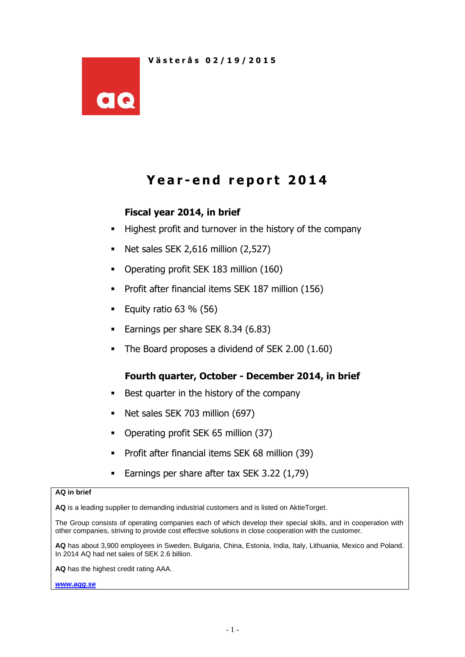

# **Y e a r - e n d r e p o r t 2014**

# **Fiscal year 2014, in brief**

- Highest profit and turnover in the history of the company
- $\blacksquare$  Net sales SEK 2,616 million (2,527)
- Operating profit SEK 183 million (160)
- **Profit after financial items SEK 187 million (156)**
- Equity ratio  $63 \% (56)$
- Earnings per share SEK 8.34 (6.83)
- The Board proposes a dividend of SEK 2.00 (1.60)

## **Fourth quarter, October - December 2014, in brief**

- Best quarter in the history of the company
- Net sales SEK 703 million (697)
- Operating profit SEK 65 million (37)
- **Profit after financial items SEK 68 million (39)**
- Earnings per share after tax SEK 3.22 (1,79)

#### **AQ in brief**

**AQ** is a leading supplier to demanding industrial customers and is listed on AktieTorget.

The Group consists of operating companies each of which develop their special skills, and in cooperation with other companies, striving to provide cost effective solutions in close cooperation with the customer.

**AQ** has about 3,900 employees in Sweden, Bulgaria, China, Estonia, India, Italy, Lithuania, Mexico and Poland. In 2014 AQ had net sales of SEK 2.6 billion.

**AQ** has the highest credit rating AAA.

*[www.aqg.se](http://www.aqg.se/)*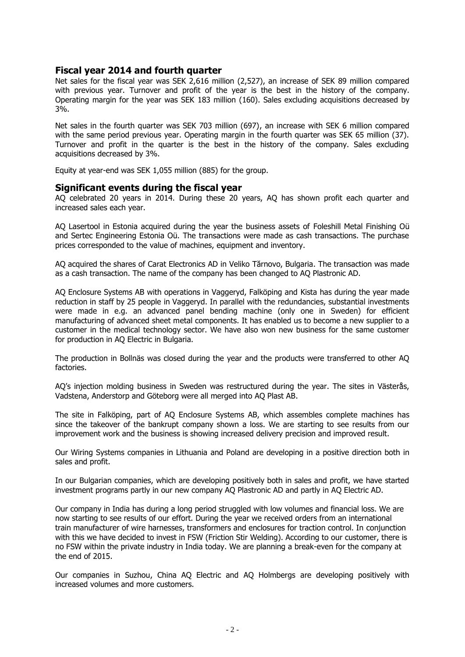#### **Fiscal year 2014 and fourth quarter**

Net sales for the fiscal year was SEK 2,616 million (2,527), an increase of SEK 89 million compared with previous year. Turnover and profit of the year is the best in the history of the company. Operating margin for the year was SEK 183 million (160). Sales excluding acquisitions decreased by 3%.

Net sales in the fourth quarter was SEK 703 million (697), an increase with SEK 6 million compared with the same period previous year. Operating margin in the fourth quarter was SEK 65 million (37). Turnover and profit in the quarter is the best in the history of the company. Sales excluding acquisitions decreased by 3%.

Equity at year-end was SEK 1,055 million (885) for the group.

#### **Significant events during the fiscal year**

AQ celebrated 20 years in 2014. During these 20 years, AQ has shown profit each quarter and increased sales each year.

AQ Lasertool in Estonia acquired during the year the business assets of Foleshill Metal Finishing Oü and Sertec Engineering Estonia Oü. The transactions were made as cash transactions. The purchase prices corresponded to the value of machines, equipment and inventory.

AQ acquired the shares of Carat Electronics AD in Veliko Tărnovo, Bulgaria. The transaction was made as a cash transaction. The name of the company has been changed to AQ Plastronic AD.

AQ Enclosure Systems AB with operations in Vaggeryd, Falköping and Kista has during the year made reduction in staff by 25 people in Vaggeryd. In parallel with the redundancies, substantial investments were made in e.g. an advanced panel bending machine (only one in Sweden) for efficient manufacturing of advanced sheet metal components. It has enabled us to become a new supplier to a customer in the medical technology sector. We have also won new business for the same customer for production in AQ Electric in Bulgaria.

The production in Bollnäs was closed during the year and the products were transferred to other AQ factories.

AQ's injection molding business in Sweden was restructured during the year. The sites in Västerås, Vadstena, Anderstorp and Göteborg were all merged into AQ Plast AB.

The site in Falköping, part of AQ Enclosure Systems AB, which assembles complete machines has since the takeover of the bankrupt company shown a loss. We are starting to see results from our improvement work and the business is showing increased delivery precision and improved result.

Our Wiring Systems companies in Lithuania and Poland are developing in a positive direction both in sales and profit.

In our Bulgarian companies, which are developing positively both in sales and profit, we have started investment programs partly in our new company AQ Plastronic AD and partly in AQ Electric AD.

Our company in India has during a long period struggled with low volumes and financial loss. We are now starting to see results of our effort. During the year we received orders from an international train manufacturer of wire harnesses, transformers and enclosures for traction control. In conjunction with this we have decided to invest in FSW (Friction Stir Welding). According to our customer, there is no FSW within the private industry in India today. We are planning a break-even for the company at the end of 2015.

Our companies in Suzhou, China AQ Electric and AQ Holmbergs are developing positively with increased volumes and more customers.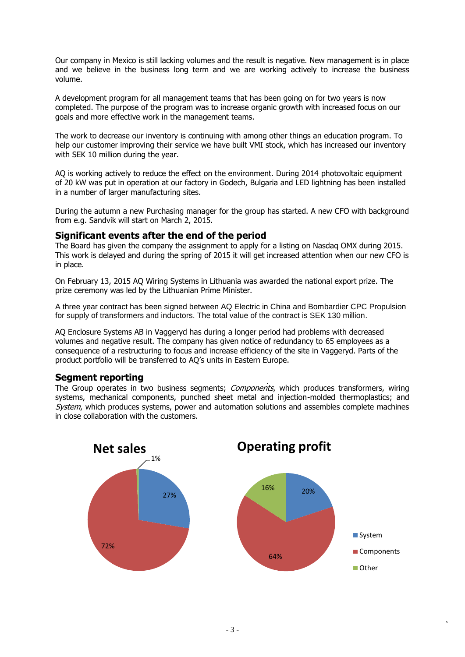Our company in Mexico is still lacking volumes and the result is negative. New management is in place and we believe in the business long term and we are working actively to increase the business volume.

A development program for all management teams that has been going on for two years is now completed. The purpose of the program was to increase organic growth with increased focus on our goals and more effective work in the management teams.

The work to decrease our inventory is continuing with among other things an education program. To help our customer improving their service we have built VMI stock, which has increased our inventory with SEK 10 million during the year.

AQ is working actively to reduce the effect on the environment. During 2014 photovoltaic equipment of 20 kW was put in operation at our factory in Godech, Bulgaria and LED lightning has been installed in a number of larger manufacturing sites.

During the autumn a new Purchasing manager for the group has started. A new CFO with background from e.g. Sandvik will start on March 2, 2015.

#### **Significant events after the end of the period**

The Board has given the company the assignment to apply for a listing on Nasdaq OMX during 2015. This work is delayed and during the spring of 2015 it will get increased attention when our new CFO is in place.

On February 13, 2015 AQ Wiring Systems in Lithuania was awarded the national export prize. The prize ceremony was led by the Lithuanian Prime Minister.

A three year contract has been signed between AQ Electric in China and Bombardier CPC Propulsion for supply of transformers and inductors. The total value of the contract is SEK 130 million.

AQ Enclosure Systems AB in Vaggeryd has during a longer period had problems with decreased volumes and negative result. The company has given notice of redundancy to 65 employees as a consequence of a restructuring to focus and increase efficiency of the site in Vaggeryd. Parts of the product portfolio will be transferred to AQ's units in Eastern Europe.

#### **Segment reporting**

The Group operates in two business segments; *Components*, which produces transformers, wiring systems, mechanical components, punched sheet metal and injection-molded thermoplastics; and System, which produces systems, power and automation solutions and assembles complete machines in close collaboration with the customers.

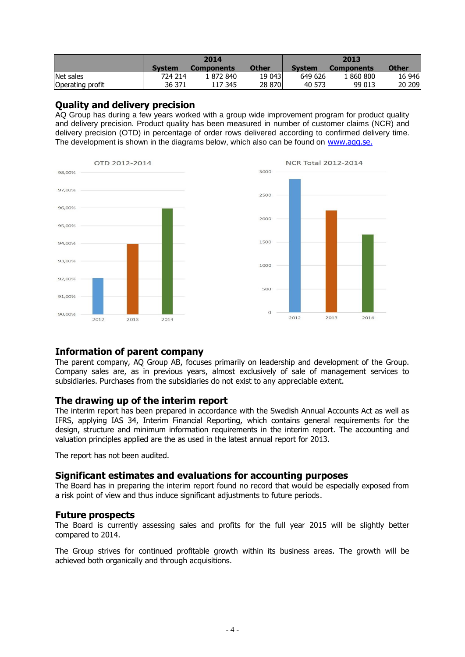|                  |               | 2014              |        | 2013          |                   |              |  |
|------------------|---------------|-------------------|--------|---------------|-------------------|--------------|--|
|                  | <b>System</b> | <b>Components</b> | Other  | <b>System</b> | <b>Components</b> | <b>Other</b> |  |
| Net sales        | 724 214       | 1 872 840         | 19 043 | 649 626       | 1860800           | 16 946       |  |
| Operating profit | 36 371        | 117 345           | 28 870 | 40 573        | 99 013            | 20 209       |  |

#### **Quality and delivery precision**

AQ Group has during a few years worked with a group wide improvement program for product quality and delivery precision. Product quality has been measured in number of customer claims (NCR) and delivery precision (OTD) in percentage of order rows delivered according to confirmed delivery time. The development is shown in the diagrams below, which also can be found on www.agg.se.



## **Information of parent company**

The parent company, AQ Group AB, focuses primarily on leadership and development of the Group. Company sales are, as in previous years, almost exclusively of sale of management services to subsidiaries. Purchases from the subsidiaries do not exist to any appreciable extent.

2013

2014

#### **The drawing up of the interim report**

The interim report has been prepared in accordance with the Swedish Annual Accounts Act as well as IFRS, applying IAS 34, Interim Financial Reporting, which contains general requirements for the design, structure and minimum information requirements in the interim report. The accounting and valuation principles applied are the as used in the latest annual report for 2013.

The report has not been audited.

## **Significant estimates and evaluations for accounting purposes**

The Board has in preparing the interim report found no record that would be especially exposed from a risk point of view and thus induce significant adjustments to future periods.

#### **Future prospects**

The Board is currently assessing sales and profits for the full year 2015 will be slightly better compared to 2014.

The Group strives for continued profitable growth within its business areas. The growth will be achieved both organically and through acquisitions.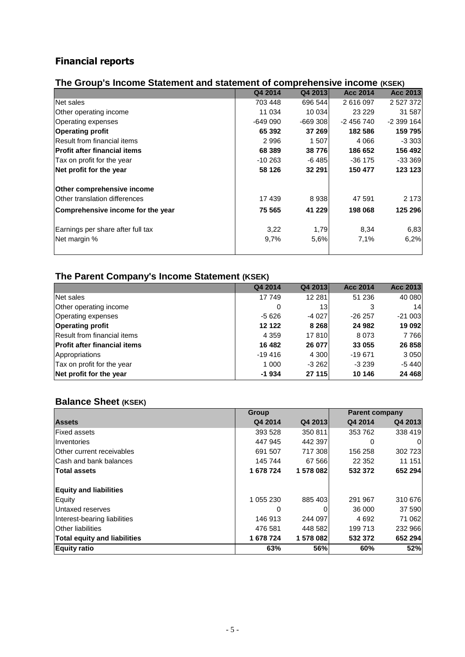# **Financial reports**

| The Group's Income Statement and statement of comprehensive income (KSEK) |          |           |                 |            |
|---------------------------------------------------------------------------|----------|-----------|-----------------|------------|
|                                                                           | Q4 2014  | Q4 2013   | <b>Acc 2014</b> | Acc 2013   |
| Net sales                                                                 | 703 448  | 696 544   | 2616097         | 2 527 372  |
| Other operating income                                                    | 11 034   | 10 034    | 23 2 29         | 31 587     |
| <b>Operating expenses</b>                                                 | $-64900$ | $-669308$ | $-2456740$      | $-2399164$ |
| <b>Operating profit</b>                                                   | 65 392   | 37 269    | 182 586         | 159 795    |
| <b>Result from financial items</b>                                        | 2996     | 1 507     | 4 0 6 6         | $-3303$    |
| <b>Profit after financial items</b>                                       | 68 389   | 38 776    | 186 652         | 156 492    |
| Tax on profit for the year                                                | $-10263$ | -6 485    | $-36$ 175       | $-333369$  |
| Net profit for the year                                                   | 58 126   | 32 291    | 150 477         | 123 123    |
| Other comprehensive income                                                |          |           |                 |            |
| lOther translation differences                                            | 17439    | 8938      | 47 591          | 2 1 7 3    |
| Comprehensive income for the year                                         | 75 565   | 41 229    | 198 068         | 125 296    |
| Earnings per share after full tax                                         | 3,22     | 1,79      | 8,34            | 6,83       |
| Net margin %                                                              | 9,7%     | 5,6%      | 7,1%            | 6,2%       |
|                                                                           |          |           |                 |            |

# **The Group's Income Statement and statement of comprehensive income (KSEK)**

# **The Parent Company's Income Statement (KSEK)**

|                                     | Q4 2014   | Q4 2013         | <b>Acc 2014</b> | <b>Acc 2013</b> |
|-------------------------------------|-----------|-----------------|-----------------|-----------------|
| Net sales                           | 17 749    | 12 2 8 1        | 51 236          | 40 080          |
| Other operating income              | 0         | 13 <sub>l</sub> | 3               | 14              |
| <b>Operating expenses</b>           | $-5626$   | $-4027$         | $-26257$        | $-21003$        |
| <b>Operating profit</b>             | 12 122    | 8 2 6 8         | 24 982          | 19 092          |
| Result from financial items         | 4 3 5 9   | 17810           | 8073            | 7766            |
| <b>Profit after financial items</b> | 16 482    | 26 077          | 33 055          | 26 858          |
| Appropriations                      | $-19.416$ | 4 3 0 0         | $-19671$        | 3 0 5 0         |
| Tax on profit for the year          | 1 0 0 0   | $-3262$         | $-3239$         | $-5440$         |
| Net profit for the year             | $-1934$   | 27 115          | 10 146          | 24 4 68         |

# **Balance Sheet (KSEK)**

|                                     | <b>Group</b> |         | <b>Parent company</b> |          |
|-------------------------------------|--------------|---------|-----------------------|----------|
| <b>Assets</b>                       | Q4 2014      | Q4 2013 | Q4 2014               | Q4 2013  |
| <b>Fixed assets</b>                 | 393 528      | 350 811 | 353 762               | 338 419  |
| Inventories                         | 447 945      | 442 397 | 0                     | $\Omega$ |
| lOther current receivables          | 691 507      | 717 308 | 156 258               | 302 723  |
| Cash and bank balances              | 145 744      | 67 566  | 22 3 52               | 11 151   |
| <b>Total assets</b>                 | 1 678 724    | 1578082 | 532 372               | 652 294  |
| <b>Equity and liabilities</b>       |              |         |                       |          |
| Equity                              | 1 055 230    | 885 403 | 291 967               | 310 676  |
| Untaxed reserves                    | 0            |         | 36 000                | 37 590   |
| Interest-bearing liabilities        | 146 913      | 244 097 | 4692                  | 71 062   |
| <b>Other liabilities</b>            | 476 581      | 448 582 | 199 713               | 232 966  |
| <b>Total equity and liabilities</b> | 1 678 724    | 1578082 | 532 372               | 652 294  |
| <b>Equity ratio</b>                 | 63%          | 56%     | 60%                   | 52%      |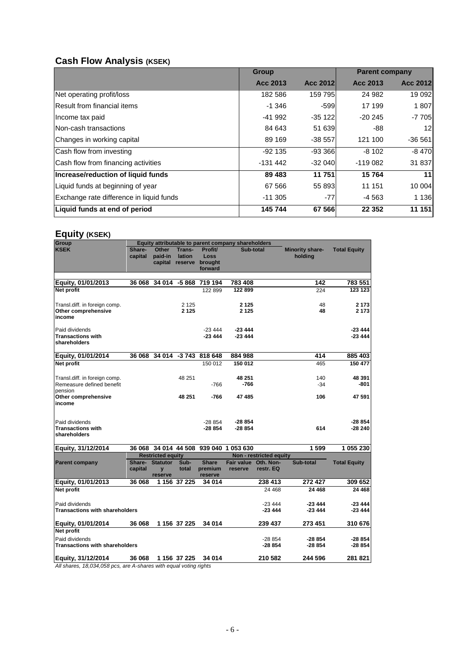# **Cash Flow Analysis (KSEK)**

|                                          | <b>Group</b> |           | <b>Parent company</b> |          |
|------------------------------------------|--------------|-----------|-----------------------|----------|
|                                          | Acc 2013     | Acc 2012  | Acc 2013              | Acc 2012 |
| Net operating profit/loss                | 182 586      | 159 795   | 24 982                | 19 092   |
| Result from financial items              | $-1.346$     | $-599$    | 17 199                | 1807     |
| Income tax paid                          | $-41992$     | $-35122$  | $-20245$              | $-7705$  |
| Non-cash transactions                    | 84 643       | 51 639    | -88                   | 12       |
| Changes in working capital               | 89 169       | $-38557$  | 121 100               | $-36561$ |
| Cash flow from investing                 | $-92135$     | $-93,366$ | $-8102$               | $-8470$  |
| Cash flow from financing activities      | -131 442     | $-32040$  | $-119082$             | 31 837   |
| Increase/reduction of liquid funds       | 89 4 83      | 11 751    | 15764                 | 11       |
| Liquid funds at beginning of year        | 67 566       | 55 893    | 11 151                | 10 004   |
| Exchange rate difference in liquid funds | $-11.305$    | $-77$     | -4 563                | 1 1 3 6  |
| Liquid funds at end of period            | 145 744      | 67 566    | 22 3 52               | 11 151   |

# **Equity (KSEK)**

| Group                                                                                 | Equity attributable to parent company shareholders |                          |                  |                                    |                                 |                         |                            |                     |
|---------------------------------------------------------------------------------------|----------------------------------------------------|--------------------------|------------------|------------------------------------|---------------------------------|-------------------------|----------------------------|---------------------|
| <b>KSEK</b>                                                                           | Share-<br>capital                                  | Other<br>paid-in         | Trans-<br>lation | Profit/<br>Loss                    | Sub-total                       |                         | Minority share-<br>holding | <b>Total Equity</b> |
|                                                                                       |                                                    |                          |                  | capital reserve brought<br>forward |                                 |                         |                            |                     |
|                                                                                       |                                                    |                          |                  |                                    |                                 |                         |                            |                     |
| Equity, 01/01/2013                                                                    | 36 068                                             | 34 014                   | -5 868           | 719 194                            | 783 408                         |                         | 142                        | 783 551             |
| Net profit                                                                            |                                                    |                          |                  | 122 899                            | 122 899                         |                         | 224                        | 123 123             |
| Transl.diff. in foreign comp.                                                         |                                                    |                          | 2 1 2 5          |                                    | 2 1 2 5                         |                         | 48                         | 2 1 7 3             |
| Other comprehensive<br>income                                                         |                                                    |                          | 2 1 2 5          |                                    | 2 1 2 5                         |                         | 48                         | 2 1 7 3             |
| Paid dividends                                                                        |                                                    |                          |                  | $-23444$                           | $-23444$                        |                         |                            | $-23444$            |
| <b>Transactions with</b><br>shareholders                                              |                                                    |                          |                  | $-23444$                           | $-23444$                        |                         |                            | $-23444$            |
| <b>Equity, 01/01/2014</b>                                                             | 36 068                                             | 34 014                   |                  | -3 743 818 648                     | 884 988                         |                         | 414                        | 885 403             |
| Net profit                                                                            |                                                    |                          |                  | 150 012                            | 150 012                         |                         | 465                        | 150 477             |
|                                                                                       |                                                    |                          |                  |                                    |                                 |                         |                            |                     |
| Transl.diff. in foreign comp.                                                         |                                                    |                          | 48 251           |                                    | 48 251                          |                         | 140                        | 48 391              |
| Remeasure defined benefit<br>pension                                                  |                                                    |                          |                  | $-766$                             | -766                            |                         | $-34$                      | -801                |
| Other comprehensive<br>income                                                         |                                                    |                          | 48 251           | $-766$                             | 47 485                          |                         | 106                        | 47 591              |
|                                                                                       |                                                    |                          |                  |                                    |                                 |                         |                            |                     |
| Paid dividends                                                                        |                                                    |                          |                  | -28 854                            | -28 854                         |                         |                            | $-28854$            |
| <b>Transactions with</b><br>shareholders                                              |                                                    |                          |                  | $-28854$                           | $-28854$                        |                         | 614                        | -28 240             |
| Equity, 31/12/2014                                                                    | 36 068                                             |                          |                  |                                    | 34 014 44 508 939 040 1 053 630 |                         | 1599                       | 1 055 230           |
|                                                                                       |                                                    | <b>Restricted equity</b> |                  |                                    |                                 | Non - restricted equity |                            |                     |
| <b>Parent company</b>                                                                 | Share-<br>capital                                  | <b>Statutor</b>          | Sub-<br>total    | <b>Share</b><br>premium            | Fair value Oth. Non-<br>reserve | restr. EQ               | Sub-total                  | <b>Total Equity</b> |
|                                                                                       |                                                    | y<br>reserve             |                  | reserve                            |                                 |                         |                            |                     |
| Equity, 01/01/2013                                                                    | 36 068                                             |                          | 1 156 37 225     | 34 014                             |                                 | 238 413                 | 272 427                    | 309 652             |
| <b>Net profit</b>                                                                     |                                                    |                          |                  |                                    |                                 | 24 4 68                 | 24 4 68                    | 24 468              |
| Paid dividends                                                                        |                                                    |                          |                  |                                    |                                 | $-23444$                | $-23444$                   | -23 444             |
| <b>Transactions with shareholders</b>                                                 |                                                    |                          |                  |                                    |                                 | $-23444$                | $-23444$                   | -23 444             |
| Equity, 01/01/2014                                                                    | 36 068                                             |                          | 1 156 37 225     | 34 014                             |                                 | 239 437                 | 273 451                    | 310 676             |
| <b>Net profit</b>                                                                     |                                                    |                          |                  |                                    |                                 |                         |                            |                     |
| Paid dividends<br><b>Transactions with shareholders</b>                               |                                                    |                          |                  |                                    |                                 | $-28854$<br>$-28854$    | $-28854$<br>$-28854$       | -28 854<br>-28 854  |
|                                                                                       |                                                    |                          |                  |                                    |                                 |                         |                            |                     |
| Equity, 31/12/2014<br>All oboron 10.034.050 pop are A oboron with oqual vating rights | 36 068                                             |                          | 1 156 37 225     | 34 014                             |                                 | 210 582                 | 244 596                    | 281 821             |

*All shares, 18,034,058 pcs, are A-shares with equal voting rights*